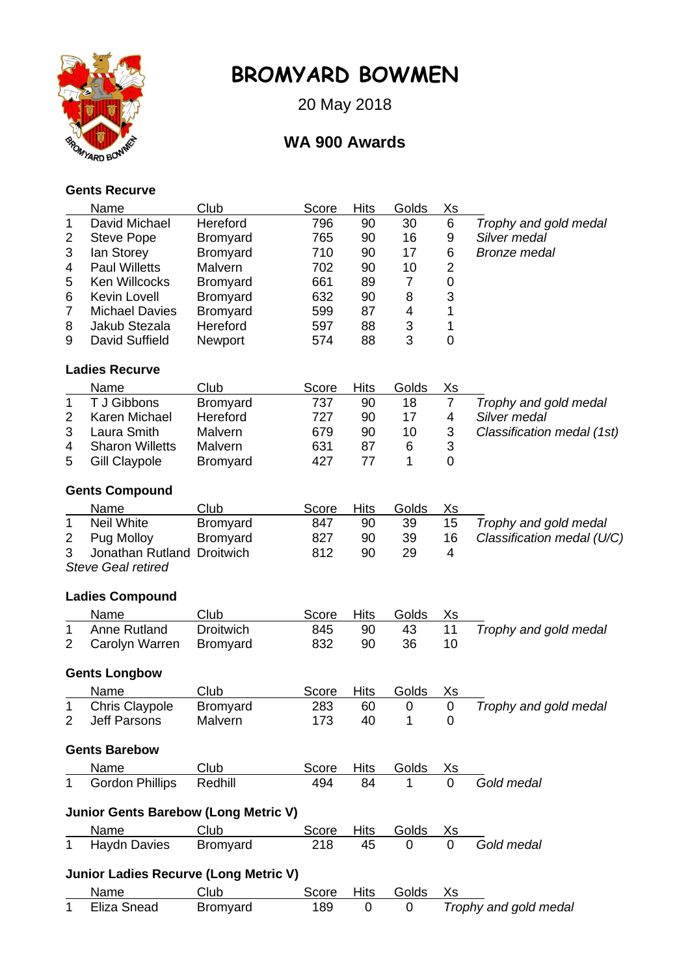

## **BROMYARD BOWMEN**

20 May 2018

## **WA 900 Awards**

## **Gents Recurve**

|                         | Name                                         | Club             | Score        | <b>Hits</b> | Golds | <u>Xs</u>      |                            |
|-------------------------|----------------------------------------------|------------------|--------------|-------------|-------|----------------|----------------------------|
| $\mathbf{1}$            | David Michael                                | Hereford         | 796          | 90          | 30    | $\,6$          | Trophy and gold medal      |
| 2                       | <b>Steve Pope</b>                            | Bromyard         | 765          | 90          | 16    | 9              | Silver medal               |
| 3                       | lan Storey                                   | Bromyard         | 710          | 90          | 17    | 6              | <b>Bronze medal</b>        |
| 4                       | <b>Paul Willetts</b>                         | Malvern          | 702          | 90          | 10    | $\overline{2}$ |                            |
| 5                       | Ken Willcocks                                | Bromyard         | 661          | 89          | 7     | 0              |                            |
| 6                       | Kevin Lovell                                 | Bromyard         | 632          | 90          | 8     | 3              |                            |
| 7                       | <b>Michael Davies</b>                        | <b>Bromyard</b>  | 599          | 87          | 4     | 1              |                            |
| 8                       | Jakub Stezala                                | Hereford         | 597          | 88          | 3     | 1              |                            |
| 9                       | David Suffield                               | Newport          | 574          | 88          | 3     | $\mathbf 0$    |                            |
|                         | <b>Ladies Recurve</b>                        |                  |              |             |       |                |                            |
|                         | Name                                         | Club             | <b>Score</b> | <b>Hits</b> | Golds | <u>Xs</u>      |                            |
| 1                       | T J Gibbons                                  | <b>Bromyard</b>  | 737          | 90          | 18    | $\overline{7}$ | Trophy and gold medal      |
| $\overline{2}$          | Karen Michael                                | Hereford         | 727          | 90          | 17    | 4              | Silver medal               |
| 3                       | Laura Smith                                  | Malvern          | 679          | 90          | 10    | 3              | Classification medal (1st) |
| 4                       | <b>Sharon Willetts</b>                       | Malvern          | 631          | 87          | 6     | 3              |                            |
| 5                       | <b>Gill Claypole</b>                         | <b>Bromyard</b>  | 427          | 77          | 1     | $\overline{0}$ |                            |
|                         | <b>Gents Compound</b>                        |                  |              |             |       |                |                            |
|                         | Name                                         | Club             | Score        | <b>Hits</b> | Golds | <u>Xs</u>      |                            |
| 1                       | <b>Neil White</b>                            | <b>Bromyard</b>  | 847          | 90          | 39    | 15             | Trophy and gold medal      |
| $\overline{\mathbf{c}}$ | Pug Molloy                                   | Bromyard         | 827          | 90          | 39    | 16             | Classification medal (U/C) |
| 3                       | Jonathan Rutland                             | <b>Droitwich</b> | 812          | 90          | 29    | $\overline{4}$ |                            |
|                         | <b>Steve Geal retired</b>                    |                  |              |             |       |                |                            |
|                         | <b>Ladies Compound</b>                       |                  |              |             |       |                |                            |
|                         | Name                                         | Club             | Score        | <b>Hits</b> | Golds | <u>Xs</u>      |                            |
| 1                       | Anne Rutland                                 | <b>Droitwich</b> | 845          | 90          | 43    | 11             | Trophy and gold medal      |
| 2                       | Carolyn Warren                               | <b>Bromyard</b>  | 832          | 90          | 36    | 10             |                            |
|                         | <b>Gents Longbow</b>                         |                  |              |             |       |                |                            |
|                         | Name                                         | Club             | Score        | <b>Hits</b> | Golds | <u>Xs</u>      |                            |
| 1                       | <b>Chris Claypole</b>                        | <b>Bromyard</b>  | 283          | 60          | 0     | $\overline{0}$ | Trophy and gold medal      |
| 2                       | <b>Jeff Parsons</b>                          | Malvern          | 173          | 40          | 1     | 0              |                            |
|                         | <b>Gents Barebow</b>                         |                  |              |             |       |                |                            |
|                         | Name                                         | Club             | Score        | <b>Hits</b> | Golds | Xs             |                            |
| 1                       | <b>Gordon Phillips</b>                       | Redhill          | 494          | 84          | 1     | 0              | Gold medal                 |
|                         | <b>Junior Gents Barebow (Long Metric V)</b>  |                  |              |             |       |                |                            |
|                         | Name                                         | Club             | Score        | <b>Hits</b> | Golds | Xs             |                            |
| 1                       | <b>Haydn Davies</b>                          | Bromyard         | 218          | 45          | 0     | 0              | Gold medal                 |
|                         | <b>Junior Ladies Recurve (Long Metric V)</b> |                  |              |             |       |                |                            |
|                         | Name                                         | Club             | Score        | <b>Hits</b> | Golds | Xs             |                            |
| 1                       | Eliza Snead                                  | <b>Bromyard</b>  | 189          | 0           | 0     |                | Trophy and gold medal      |
|                         |                                              |                  |              |             |       |                |                            |